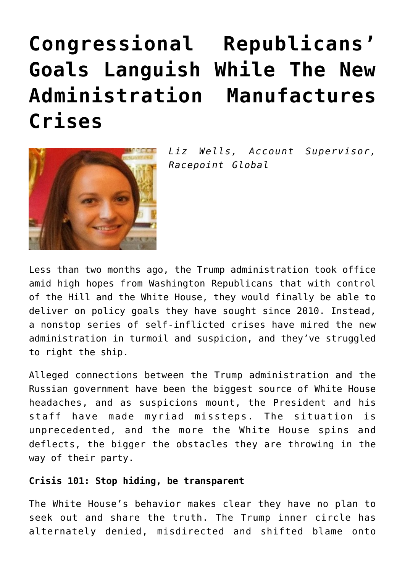## **[Congressional Republicans'](https://www.commpro.biz/congressional-republicans-goals-languish-while-the-new-administration-manufactures-crises/) [Goals Languish While The New](https://www.commpro.biz/congressional-republicans-goals-languish-while-the-new-administration-manufactures-crises/) [Administration Manufactures](https://www.commpro.biz/congressional-republicans-goals-languish-while-the-new-administration-manufactures-crises/) [Crises](https://www.commpro.biz/congressional-republicans-goals-languish-while-the-new-administration-manufactures-crises/)**



*Liz Wells, Account Supervisor, [Racepoint Global](https://racepointglobal.com/)*

Less than two months ago, the Trump administration took office amid high hopes from Washington Republicans that with control of the Hill and the White House, they would finally be able to deliver on policy goals they have sought since 2010. Instead, a nonstop series of self-inflicted [crises](https://www.commpro.biz/whitehouse-in-search-of-a-strategic-crisis-communications-plan/) have mired the new administration in turmoil and suspicion, and they've struggled to right the ship.

Alleged connections between the Trump administration and the Russian government have been the biggest source of White House headaches, and as suspicions mount, the President and his staff have made myriad missteps. The situation is unprecedented, and the more the White House spins and deflects, the bigger the obstacles they are throwing in the way of their party.

## **Crisis 101: Stop hiding, be transparent**

The White House's behavior makes clear they have no plan to seek out and share the truth. The Trump inner circle has alternately denied, misdirected and shifted blame onto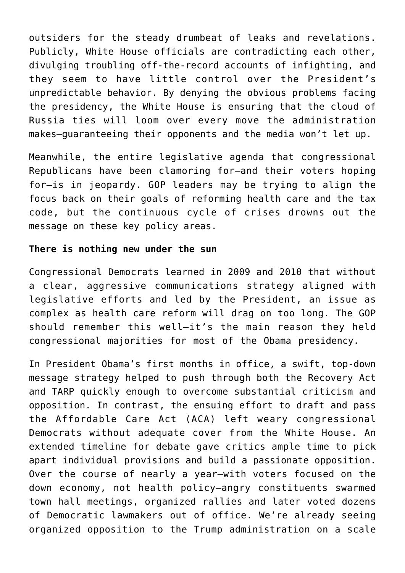outsiders for the steady drumbeat of leaks and revelations. Publicly, White House officials are contradicting each other, divulging troubling off-the-record accounts of infighting, and they seem to have little control over the President's unpredictable behavior. By denying the obvious problems facing the presidency, the White House is ensuring that the cloud of Russia ties will loom over every move the administration makes—guaranteeing their opponents and the media won't let up.

Meanwhile, the entire legislative agenda that congressional Republicans have been clamoring for—and their voters hoping for—is in jeopardy. GOP leaders may be trying to align the focus back on their goals of reforming health care and the tax code, but the continuous cycle of crises drowns out the message on these key policy areas.

## **There is nothing new under the sun**

Congressional Democrats learned in 2009 and 2010 that without a clear, aggressive communications strategy aligned with legislative efforts and led by the President, an issue as complex as health care reform will drag on too long. The GOP should remember this well—it's the main reason they held congressional majorities for most of the Obama presidency.

In President Obama's first months in office, a swift, top-down message strategy helped to push through both the Recovery Act and TARP quickly enough to overcome substantial criticism and opposition. In contrast, the ensuing effort to draft and pass the Affordable Care Act (ACA) left weary congressional Democrats without adequate cover from the White House. An extended timeline for debate gave critics ample time to pick apart individual provisions and build a passionate opposition. Over the course of nearly a year—with voters focused on the down economy, not health policy—angry constituents swarmed town hall meetings, organized rallies and later voted dozens of Democratic lawmakers out of office. We're already seeing organized opposition to the Trump administration on a scale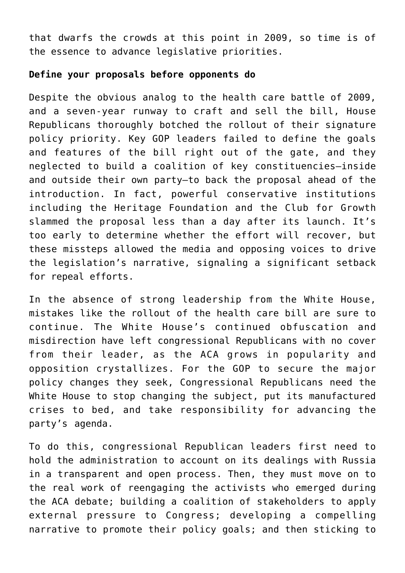that dwarfs the crowds at this point in 2009, so time is of the essence to advance legislative priorities.

## **Define your proposals before opponents do**

Despite the obvious analog to the health care battle of 2009, and a seven-year runway to craft and sell the bill, House Republicans thoroughly botched the rollout of their signature policy priority. Key GOP leaders failed to define the goals and features of the bill right out of the gate, and they neglected to build a coalition of key constituencies—inside and outside their own party—to back the proposal ahead of the introduction. In fact, powerful conservative institutions including the Heritage Foundation and the Club for Growth slammed the proposal less than a day after its launch. It's too early to determine whether the effort will recover, but these missteps allowed the media and opposing voices to drive the legislation's narrative, signaling a significant setback for repeal efforts.

In the absence of strong leadership from the White House, mistakes like the rollout of the health care bill are sure to continue. The White House's continued obfuscation and misdirection have left congressional Republicans with no cover from their leader, as the ACA grows in popularity and opposition crystallizes. For the GOP to secure the major policy changes they seek, Congressional Republicans need the White House to stop changing the subject, put its manufactured crises to bed, and take responsibility for advancing the party's agenda.

To do this, congressional Republican leaders first need to hold the administration to account on its dealings with Russia in a transparent and open process. Then, they must move on to the real work of reengaging the activists who emerged during the ACA debate; building a coalition of stakeholders to apply external pressure to Congress; developing a compelling narrative to promote their policy goals; and then sticking to